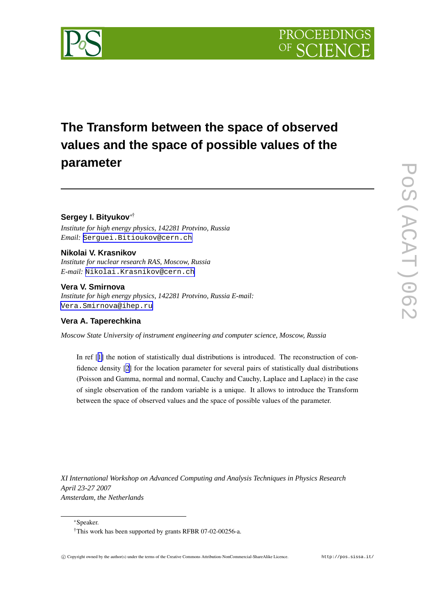

# **The Transform between the space of observed values and the space of possible values of the parameter**

# **Sergey I. Bityukov** ∗†

*Institute for high energy physics, 142281 Protvino, Russia Email:* [Serguei.Bitioukov@cern.ch](mailto:Serguei.Bitioukov@cern.ch)

## **Nikolai V. Krasnikov**

*Institute for nuclear research RAS, Moscow, Russia E-mail:* [Nikolai.Krasnikov@cern.ch](mailto:Nikolai.Krasnikov@cern.ch)

### **Vera V. Smirnova**

*Institute for high energy physics, 142281 Protvino, Russia E-mail:* [Vera.Smirnova@ihep.ru](mailto:Vera.Smirnova@ihep.ru)

## **Vera A. Taperechkina**

*Moscow State University of instrument engineering and computer science, Moscow, Russia*

In ref [[1\]](#page-7-0) the notion of statistically dual distributions is introduced. The reconstruction of confidence density [[2\]](#page-7-0) for the location parameter for several pairs of statistically dual distributions (Poisson and Gamma, normal and normal, Cauchy and Cauchy, Laplace and Laplace) in the case of single observation of the random variable is a unique. It allows to introduce the Transform between the space of observed values and the space of possible values of the parameter.

*XI International Workshop on Advanced Computing and Analysis Techniques in Physics Research April 23-27 2007 Amsterdam, the Netherlands*

<sup>∗</sup>Speaker.

<sup>†</sup>This work has been supported by grants RFBR 07-02-00256-a.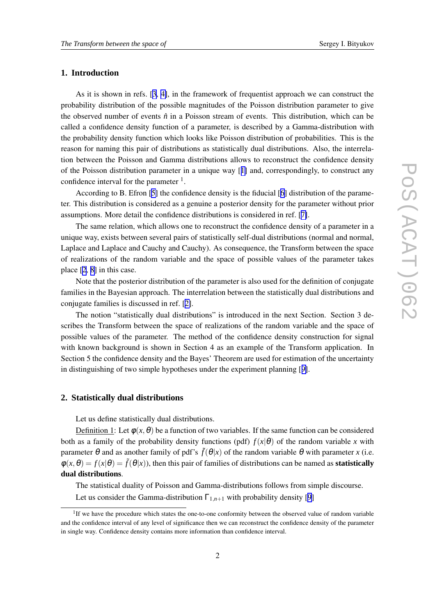#### **1. Introduction**

As it is shown in refs. [[3,](#page-7-0) [4\]](#page-7-0), in the framework of frequentist approach we can construct the probability distribution of the possible magnitudes of the Poisson distribution parameter to give the observed number of events  $\hat{n}$  in a Poisson stream of events. This distribution, which can be called a confidence density function of a parameter, is described by a Gamma-distribution with the probability density function which looks like Poisson distribution of probabilities. This is the reason for naming this pair of distributions as statistically dual distributions. Also, the interrelation between the Poisson and Gamma distributions allows to reconstruct the confidence density of the Poisson distribution parameter in a unique way [[1\]](#page-7-0) and, correspondingly, to construct any confidence interval for the parameter  $<sup>1</sup>$ .</sup>

According to B. Efron [\[5\]](#page-7-0) the confidence density is the fiducial [[6](#page-7-0)] distribution of the parameter. This distribution is considered as a genuine a posterior density for the parameter without prior assumptions. More detail the confidence distributions is considered in ref. [[7\]](#page-7-0).

The same relation, which allows one to reconstruct the confidence density of a parameter in a unique way, exists between several pairs of statistically self-dual distributions (normal and normal, Laplace and Laplace and Cauchy and Cauchy). As consequence, the Transform between the space of realizations of the random variable and the space of possible values of the parameter takes place [[2](#page-7-0), [8](#page-7-0)] in this case.

Note that the posterior distribution of the parameter is also used for the definition of conjugate families in the Bayesian approach. The interrelation between the statistically dual distributions and conjugate families is discussed in ref. [[2\]](#page-7-0).

The notion "statistically dual distributions" is introduced in the next Section. Section 3 describes the Transform between the space of realizations of the random variable and the space of possible values of the parameter. The method of the confidence density construction for signal with known background is shown in Section 4 as an example of the Transform application. In Section 5 the confidence density and the Bayes' Theorem are used for estimation of the uncertainty in distinguishing of two simple hypotheses under the experiment planning [[9\]](#page-7-0).

#### **2. Statistically dual distributions**

Let us define statistically dual distributions.

Definition 1: Let  $\phi(x, \theta)$  be a function of two variables. If the same function can be considered both as a family of the probability density functions (pdf)  $f(x|\theta)$  of the random variable *x* with parameter θ and as another family of pdf's  $\tilde{f}(\theta|x)$  of the random variable θ with parameter *x* (i.e.  $\phi(x,\theta) = f(x|\theta) = \tilde{f}(\theta|x)$ , then this pair of families of distributions can be named as **statistically dual distributions**.

The statistical duality of Poisson and Gamma-distributions follows from simple discourse. Let us consider the Gamma-distribution  $\Gamma_{1,n+1}$  with probability density [[9](#page-7-0)]

<sup>&</sup>lt;sup>1</sup>If we have the procedure which states the one-to-one conformity between the observed value of random variable and the confidence interval of any level of significance then we can reconstruct the confidence density of the parameter in single way. Confidence density contains more information than confidence interval.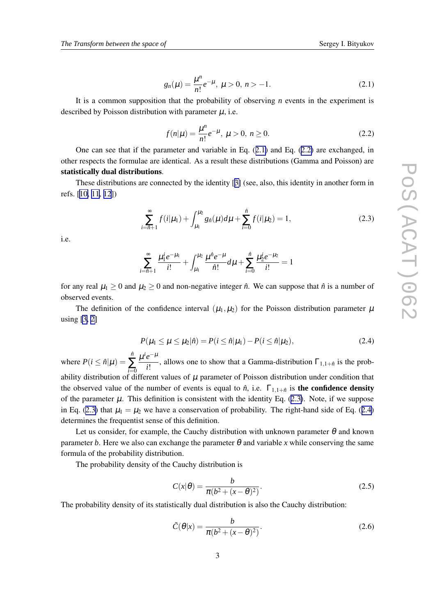$$
g_n(\mu) = \frac{\mu^n}{n!} e^{-\mu}, \ \mu > 0, \ n > -1. \tag{2.1}
$$

<span id="page-2-0"></span>It is a common supposition that the probability of observing *n* events in the experiment is described by Poisson distribution with parameter  $\mu$ , i.e.

$$
f(n|\mu) = \frac{\mu^n}{n!} e^{-\mu}, \ \mu > 0, \ n \ge 0.
$$
 (2.2)

One can see that if the parameter and variable in Eq.  $(2.1)$  and Eq.  $(2.2)$  are exchanged, in other respects the formulae are identical. As a result these distributions (Gamma and Poisson) are **statistically dual distributions**.

These distributions are connected by the identity [[3\]](#page-7-0) (see, also, this identity in another form in refs. [[10,](#page-7-0) [11,](#page-8-0) [12](#page-8-0)])

$$
\sum_{i=\hat{n}+1}^{\infty} f(i|\mu_1) + \int_{\mu_1}^{\mu_2} g_{\hat{n}}(\mu) d\mu + \sum_{i=0}^{\hat{n}} f(i|\mu_2) = 1, \tag{2.3}
$$

i.e.

$$
\sum_{i=\hat{n}+1}^{\infty} \frac{\mu_1^i e^{-\mu_1}}{i!} + \int_{\mu_1}^{\mu_2} \frac{\mu^{\hat{n}} e^{-\mu}}{\hat{n}!} d\mu + \sum_{i=0}^{\hat{n}} \frac{\mu_2^i e^{-\mu_2}}{i!} = 1
$$

for any real  $\mu_1 \geq 0$  and  $\mu_2 \geq 0$  and non-negative integer  $\hat{n}$ . We can suppose that  $\hat{n}$  is a number of observed events.

The definition of the confidence interval  $(\mu_1, \mu_2)$  for the Poisson distribution parameter  $\mu$ using [\[3,](#page-7-0) [2\]](#page-7-0)

$$
P(\mu_1 \le \mu \le \mu_2 | \hat{n}) = P(i \le \hat{n} | \mu_1) - P(i \le \hat{n} | \mu_2), \tag{2.4}
$$

where  $P(i \leq \hat{n}|\mu)$  = *n*ˆ ∑ *i*=0  $\mu^i e^{-\mu}$  $\frac{\partial^2}{\partial t^2}$ , allows one to show that a Gamma-distribution  $\Gamma_{1,1+\hat{n}}$  is the probability distribution of different values of  $\mu$  parameter of Poisson distribution under condition that the observed value of the number of events is equal to  $\hat{n}$ , i.e.  $\Gamma_{1,1+\hat{n}}$  is **the confidence density** of the parameter  $\mu$ . This definition is consistent with the identity Eq. (2.3). Note, if we suppose in Eq. (2.3) that  $\mu_1 = \mu_2$  we have a conservation of probability. The right-hand side of Eq. (2.4) determines the frequentist sense of this definition.

Let us consider, for example, the Cauchy distribution with unknown parameter  $\theta$  and known parameter *b*. Here we also can exchange the parameter  $\theta$  and variable *x* while conserving the same formula of the probability distribution.

The probability density of the Cauchy distribution is

$$
C(x|\theta) = \frac{b}{\pi(b^2 + (x - \theta)^2)}.
$$
\n(2.5)

The probability density of its statistically dual distribution is also the Cauchy distribution:

$$
\tilde{C}(\theta|x) = \frac{b}{\pi(b^2 + (x - \theta)^2)}.
$$
\n(2.6)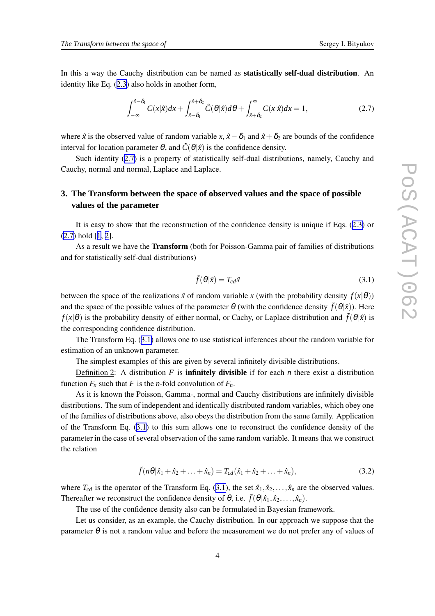<span id="page-3-0"></span>In this a way the Cauchy distribution can be named as **statistically self-dual distribution**. An identity like Eq. ([2.3](#page-2-0)) also holds in another form,

$$
\int_{-\infty}^{\hat{x}-\delta_1} C(x|\hat{x})dx + \int_{\hat{x}-\delta_1}^{\hat{x}+\delta_2} \tilde{C}(\theta|\hat{x})d\theta + \int_{\hat{x}+\delta_2}^{\infty} C(x|\hat{x})dx = 1,
$$
\n(2.7)

where  $\hat{x}$  is the observed value of random variable  $x$ ,  $\hat{x} - \delta_1$  and  $\hat{x} + \delta_2$  are bounds of the confidence interval for location parameter  $\theta$ , and  $\tilde{C}(\theta|\hat{x})$  is the confidence density.

Such identity (2.7) is a property of statistically self-dual distributions, namely, Cauchy and Cauchy, normal and normal, Laplace and Laplace.

## **3. The Transform between the space of observed values and the space of possible values of the parameter**

It is easy to show that the reconstruction of the confidence density is unique if Eqs. ([2.3\)](#page-2-0) or (2.7) hold [[1](#page-7-0), [2\]](#page-7-0).

As a result we have the **Transform** (both for Poisson-Gamma pair of families of distributions and for statistically self-dual distributions)

$$
\tilde{f}(\theta|\hat{x}) = T_{cd}\hat{x} \tag{3.1}
$$

between the space of the realizations  $\hat{x}$  of random variable *x* (with the probability density  $f(x|\theta)$ ) and the space of the possible values of the parameter  $\theta$  (with the confidence density  $\tilde{f}(\theta|\hat{x})$ ). Here *f*( $x | \theta$ ) is the probability density of either normal, or Cachy, or Laplace distribution and  $\tilde{f}(\theta | \hat{x})$  is the corresponding confidence distribution.

The Transform Eq. (3.1) allows one to use statistical inferences about the random variable for estimation of an unknown parameter.

The simplest examples of this are given by several infinitely divisible distributions.

Definition 2: A distribution  $F$  is **infinitely divisible** if for each  $n$  there exist a distribution function  $F_n$  such that  $F$  is the *n*-fold convolution of  $F_n$ .

As it is known the Poisson, Gamma-, normal and Cauchy distributions are infinitely divisible distributions. The sum of independent and identically distributed random variables, which obey one of the families of distributions above, also obeys the distribution from the same family. Application of the Transform Eq. (3.1) to this sum allows one to reconstruct the confidence density of the parameter in the case of several observation of the same random variable. It means that we construct the relation

$$
\tilde{f}(n\theta|\hat{x}_1 + \hat{x}_2 + \ldots + \hat{x}_n) = T_{cd}(\hat{x}_1 + \hat{x}_2 + \ldots + \hat{x}_n),
$$
\n(3.2)

where  $T_{cd}$  is the operator of the Transform Eq. (3.1), the set  $\hat{x}_1, \hat{x}_2, \dots, \hat{x}_n$  are the observed values. Thereafter we reconstruct the confidence density of  $\theta$ , i.e.  $\tilde{f}(\theta|\hat{x}_1, \hat{x}_2, \dots, \hat{x}_n)$ .

The use of the confidence density also can be formulated in Bayesian framework.

Let us consider, as an example, the Cauchy distribution. In our approach we suppose that the parameter  $\theta$  is not a random value and before the measurement we do not prefer any of values of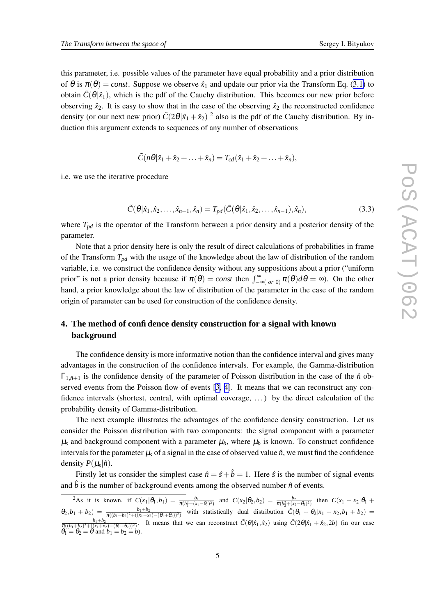this parameter, i.e. possible values of the parameter have equal probability and a prior distribution of  $\theta$  is  $\pi(\theta) = const.$  Suppose we observe  $\hat{x}_1$  and update our prior via the Transform Eq. ([3.1\)](#page-3-0) to obtain  $\tilde{C}(\theta|\hat{x}_1)$ , which is the pdf of the Cauchy distribution. This becomes our new prior before observing  $\hat{x}_2$ . It is easy to show that in the case of the observing  $\hat{x}_2$  the reconstructed confidence density (or our next new prior)  $\tilde{C}(2\theta|\hat{x}_1 + \hat{x}_2)^2$  also is the pdf of the Cauchy distribution. By induction this argument extends to sequences of any number of observations

$$
\tilde{C}(n\theta|\hat{x}_1+\hat{x}_2+\ldots+\hat{x}_n)=T_{cd}(\hat{x}_1+\hat{x}_2+\ldots+\hat{x}_n),
$$

i.e. we use the iterative procedure

$$
\tilde{C}(\theta|\hat{x}_1, \hat{x}_2, \dots, \hat{x}_{n-1}, \hat{x}_n) = T_{pd}(\tilde{C}(\theta|\hat{x}_1, \hat{x}_2, \dots, \hat{x}_{n-1}), \hat{x}_n),
$$
\n(3.3)

where  $T_{pd}$  is the operator of the Transform between a prior density and a posterior density of the parameter.

Note that a prior density here is only the result of direct calculations of probabilities in frame of the Transform *Tpd* with the usage of the knowledge about the law of distribution of the random variable, i.e. we construct the confidence density without any suppositions about a prior ("uniform prior" is not a prior density because if  $\pi(\theta) = const$  then  $\int_{-\infty}^{\infty} (or \theta) d\theta = \infty$ ). On the other hand, a prior knowledge about the law of distribution of the parameter in the case of the random origin of parameter can be used for construction of the confidence density.

## **4. The method of confidence density construction for a signal with known background**

The confidence density is more informative notion than the confidence interval and gives many advantages in the construction of the confidence intervals. For example, the Gamma-distribution  $\Gamma_{1,\hat{n}+1}$  is the confidence density of the parameter of Poisson distribution in the case of the  $\hat{n}$  observed events from the Poisson flow of events [\[3,](#page-7-0) [4\]](#page-7-0). It means that we can reconstruct any confidence intervals (shortest, central, with optimal coverage, . . .) by the direct calculation of the probability density of Gamma-distribution.

The next example illustrates the advantages of the confidence density construction. Let us consider the Poisson distribution with two components: the signal component with a parameter  $\mu_s$  and background component with a parameter  $\mu_b$ , where  $\mu_b$  is known. To construct confidence intervals for the parameter  $\mu_s$  of a signal in the case of observed value  $\hat{n}$ , we must find the confidence density  $P(\mu_s|\hat{n})$ .

Firstly let us consider the simplest case  $\hat{n} = \hat{s} + \hat{b} = 1$ . Here  $\hat{s}$  is the number of signal events and  $\hat{b}$  is the number of background events among the observed number  $\hat{n}$  of events.

<sup>2</sup>As it is known, if  $C(x_1|\theta_1, b_1) = \frac{b_1}{\pi(b_1^2 + (x_1 - \theta_1)^2)}$  and  $C(x_2|\theta_2, b_2) = \frac{b_2}{\pi(b_2^2 + (x_2 - \theta_2)^2)}$  then  $C(x_1 + x_2|\theta_1 +$  $\theta_2, b_1 + b_2$ ) =  $\frac{b_1 + b_2}{\pi((b_1 + b_2)^2 + ((x_1 + x_2) - (\theta_1 + \theta_2))^2)}$  with statistically dual distribution  $\tilde{C}(\theta_1 + \theta_2 | x_1 + x_2, b_1 + b_2)$  =  $\frac{b_1+b_2}{\pi((b_1+b_2)^2+((x_1+x_2)-(\theta_1+\theta_2))^2)}$ . It means that we can reconstruct  $\tilde{C}(\theta|\hat{x}_1,\hat{x}_2)$  using  $\tilde{C}(2\theta|\hat{x}_1+\hat{x}_2,2b)$  (in our case  $\theta_1 = \theta_2 = \theta$  and  $b_1 = b_2 = b$ ).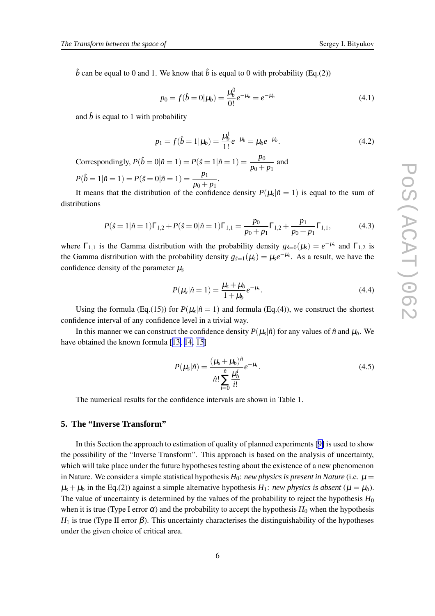$\hat{b}$  can be equal to 0 and 1. We know that  $\hat{b}$  is equal to 0 with probability (Eq.(2))

$$
p_0 = f(\hat{b} = 0 | \mu_b) = \frac{\mu_b^0}{0!} e^{-\mu_b} = e^{-\mu_b}
$$
\n(4.1)

and  $\hat{b}$  is equal to 1 with probability

$$
p_1 = f(\hat{b} = 1 | \mu_b) = \frac{\mu_b^1}{1!} e^{-\mu_b} = \mu_b e^{-\mu_b}.
$$
 (4.2)

Correspondingly,  $P(\hat{b} = 0 | \hat{n} = 1) = P(\hat{s} = 1 | \hat{n} = 1) = \frac{p_0}{\hat{s}}$  $\frac{P\sigma}{p_0 + p_1}$  and

$$
P(\hat{b} = 1 | \hat{n} = 1) = P(\hat{s} = 0 | \hat{n} = 1) = \frac{p_1}{p_0 + p_1}.
$$
  
It means that the distribution of the result

It means that the distribution of the confidence density  $P(\mu_s|\hat{n}=1)$  is equal to the sum of distributions

$$
P(\hat{s} = 1 | \hat{n} = 1)\Gamma_{1,2} + P(\hat{s} = 0 | \hat{n} = 1)\Gamma_{1,1} = \frac{p_0}{p_0 + p_1} \Gamma_{1,2} + \frac{p_1}{p_0 + p_1} \Gamma_{1,1},\tag{4.3}
$$

where  $\Gamma_{1,1}$  is the Gamma distribution with the probability density  $g_{\hat{s}=0}(\mu_s) = e^{-\mu_s}$  and  $\Gamma_{1,2}$  is the Gamma distribution with the probability density  $g_{\hat{s}=1}(\mu_s) = \mu_s e^{-\mu_s}$ . As a result, we have the confidence density of the parameter  $\mu_s$ 

$$
P(\mu_s|\hat{n}=1) = \frac{\mu_s + \mu_b}{1 + \mu_b} e^{-\mu_s}.
$$
\n(4.4)

Using the formula (Eq.(15)) for  $P(\mu_s|\hat{n}=1)$  and formula (Eq.(4)), we construct the shortest confidence interval of any confidence level in a trivial way.

In this manner we can construct the confidence density  $P(\mu_s|\hat{n})$  for any values of  $\hat{n}$  and  $\mu_b$ . We have obtained the known formula [[13,](#page-8-0) [14,](#page-8-0) [15](#page-8-0)]

$$
P(\mu_s|\hat{n}) = \frac{(\mu_s + \mu_b)^{\hat{n}}}{\hat{n}! \sum_{i=0}^{\hat{n}} \frac{\mu_b^i}{i!}} e^{-\mu_s}.
$$
 (4.5)

The numerical results for the confidence intervals are shown in Table 1.

#### **5. The "Inverse Transform"**

In this Section the approach to estimation of quality of planned experiments [[9\]](#page-7-0) is used to show the possibility of the "Inverse Transform". This approach is based on the analysis of uncertainty, which will take place under the future hypotheses testing about the existence of a new phenomenon in Nature. We consider a simple statistical hypothesis  $H_0$ : *new physics is present in Nature* (i.e.  $\mu$  =  $\mu_s + \mu_b$  in the Eq.(2)) against a simple alternative hypothesis  $H_1$ : *new physics is absent* ( $\mu = \mu_b$ ). The value of uncertainty is determined by the values of the probability to reject the hypothesis  $H_0$ when it is true (Type I error  $\alpha$ ) and the probability to accept the hypothesis  $H_0$  when the hypothesis  $H_1$  is true (Type II error  $\beta$ ). This uncertainty characterises the distinguishability of the hypotheses under the given choice of critical area.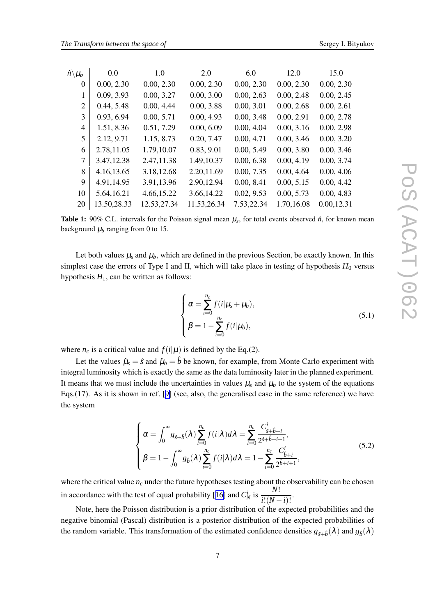| $\hat{n}\backslash\mu_b$ | 0.0         | 1.0         | 2.0         | 6.0        | 12.0       | 15.0       |
|--------------------------|-------------|-------------|-------------|------------|------------|------------|
| $\Omega$                 | 0.00, 2.30  | 0.00, 2.30  | 0.00, 2.30  | 0.00, 2.30 | 0.00, 2.30 | 0.00, 2.30 |
| 1                        | 0.09, 3.93  | 0.00, 3.27  | 0.00, 3.00  | 0.00, 2.63 | 0.00, 2.48 | 0.00, 2.45 |
| 2                        | 0.44, 5.48  | 0.00, 4.44  | 0.00, 3.88  | 0.00, 3.01 | 0.00, 2.68 | 0.00, 2.61 |
| 3                        | 0.93, 6.94  | 0.00, 5.71  | 0.00, 4.93  | 0.00, 3.48 | 0.00, 2.91 | 0.00, 2.78 |
| $\overline{4}$           | 1.51, 8.36  | 0.51, 7.29  | 0.00, 6.09  | 0.00, 4.04 | 0.00, 3.16 | 0.00, 2.98 |
| 5                        | 2.12, 9.71  | 1.15, 8.73  | 0.20, 7.47  | 0.00, 4.71 | 0.00, 3.46 | 0.00, 3.20 |
| 6                        | 2.78,11.05  | 1.79,10.07  | 0.83, 9.01  | 0.00, 5.49 | 0.00, 3.80 | 0.00, 3.46 |
| 7                        | 3.47,12.38  | 2.47,11.38  | 1.49,10.37  | 0.00, 6.38 | 0.00, 4.19 | 0.00, 3.74 |
| 8                        | 4.16,13.65  | 3.18,12.68  | 2.20,11.69  | 0.00, 7.35 | 0.00, 4.64 | 0.00, 4.06 |
| 9                        | 4.91,14.95  | 3.91,13.96  | 2.90,12.94  | 0.00, 8.41 | 0.00, 5.15 | 0.00, 4.42 |
| 10                       | 5.64,16.21  | 4.66,15.22  | 3.66, 14.22 | 0.02, 9.53 | 0.00, 5.73 | 0.00, 4.83 |
| 20                       | 13.50,28.33 | 12.53,27.34 | 11.53,26.34 | 7.53,22.34 | 1.70,16.08 | 0.00,12.31 |

**Table 1:** 90% C.L. intervals for the Poisson signal mean  $\mu_s$ , for total events observed  $\hat{n}$ , for known mean background  $\mu_b$  ranging from 0 to 15.

Let both values  $\mu_s$  and  $\mu_b$ , which are defined in the previous Section, be exactly known. In this simplest case the errors of Type I and II, which will take place in testing of hypothesis  $H_0$  versus hypothesis  $H_1$ , can be written as follows:

$$
\begin{cases}\n\alpha = \sum_{i=0}^{n_c} f(i|\mu_s + \mu_b), \\
\beta = 1 - \sum_{i=0}^{n_c} f(i|\mu_b),\n\end{cases}
$$
\n(5.1)

where  $n_c$  is a critical value and  $f(i|\mu)$  is defined by the Eq.(2).

Let the values  $\hat{\mu}_s = \hat{s}$  and  $\hat{\mu}_b = \hat{b}$  be known, for example, from Monte Carlo experiment with integral luminosity which is exactly the same as the data luminosity later in the planned experiment. It means that we must include the uncertainties in values  $\mu_s$  and  $\mu_b$  to the system of the equations Eqs.(17). As it is shown in ref. [[9\]](#page-7-0) (see, also, the generalised case in the same reference) we have the system

$$
\begin{cases}\n\alpha = \int_0^\infty g_{\hat{s}+\hat{b}}(\lambda) \sum_{i=0}^{n_c} f(i|\lambda) d\lambda = \sum_{i=0}^{n_c} \frac{C_{\hat{s}+\hat{b}+i}^i}{2^{\hat{s}+\hat{b}+i+1}},\\ \n\beta = 1 - \int_0^\infty g_{\hat{b}}(\lambda) \sum_{i=0}^{n_c} f(i|\lambda) d\lambda = 1 - \sum_{i=0}^{n_c} \frac{C_{\hat{b}+i}^i}{2^{\hat{b}+i+1}},\n\end{cases} (5.2)
$$

where the critical value  $n_c$  under the future hypotheses testing about the observability can be chosen in accordance with the test of equal probability [[16\]](#page-8-0) and  $C_N^i$  is  $\frac{N!}{i!(N-i)!}$ .

Note, here the Poisson distribution is a prior distribution of the expected probabilities and the negative binomial (Pascal) distribution is a posterior distribution of the expected probabilities of the random variable. This transformation of the estimated confidence densities  $g_{\hat{s}+\hat{b}}(\lambda)$  and  $g_{\hat{b}}(\lambda)$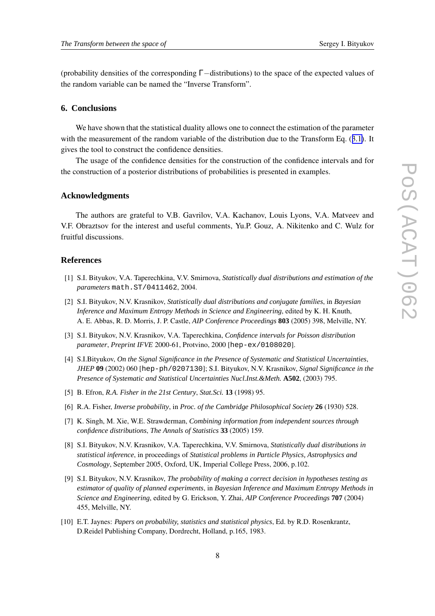<span id="page-7-0"></span>(probability densities of the corresponding Γ−distributions) to the space of the expected values of the random variable can be named the "Inverse Transform".

#### **6. Conclusions**

We have shown that the statistical duality allows one to connect the estimation of the parameter with the measurement of the random variable of the distribution due to the Transform Eq. ([3.1\)](#page-3-0). It gives the tool to construct the confidence densities.

The usage of the confidence densities for the construction of the confidence intervals and for the construction of a posterior distributions of probabilities is presented in examples.

#### **Acknowledgments**

The authors are grateful to V.B. Gavrilov, V.A. Kachanov, Louis Lyons, V.A. Matveev and V.F. Obraztsov for the interest and useful comments, Yu.P. Gouz, A. Nikitenko and C. Wulz for fruitful discussions.

#### **References**

- [1] S.I. Bityukov, V.A. Taperechkina, V.V. Smirnova, *Statistically dual distributions and estimation of the parameters* math.ST/0411462, 2004.
- [2] S.I. Bityukov, N.V. Krasnikov, *Statistically dual distributions and conjugate families*, in *Bayesian Inference and Maximum Entropy Methods in Science and Engineering*, edited by K. H. Knuth, A. E. Abbas, R. D. Morris, J. P. Castle, *AIP Conference Proceedings* **803** (2005) 398, Melville, NY.
- [3] S.I. Bityukov, N.V. Krasnikov, V.A. Taperechkina, *Confidence intervals for Poisson distribution parameter*, *Preprint IFVE* 2000-61, Protvino, 2000 [hep-ex/0108020].
- [4] S.I.Bityukov, *On the Signal Significance in the Presence of Systematic and Statistical Uncertainties*, *JHEP* **09** (2002) 060 [hep-ph/0207130]; S.I. Bityukov, N.V. Krasnikov, *Signal Significance in the Presence of Systematic and Statistical Uncertainties Nucl.Inst.&Meth.* **A502**, (2003) 795.
- [5] B. Efron, *R.A. Fisher in the 21st Century*, *Stat.Sci.* **13** (1998) 95.
- [6] R.A. Fisher, *Inverse probability*, in *Proc. of the Cambridge Philosophical Society* **26** (1930) 528.
- [7] K. Singh, M. Xie, W.E. Strawderman, *Combining information from independent sources through confidence distributions*, *The Annals of Statistics* **33** (2005) 159.
- [8] S.I. Bityukov, N.V. Krasnikov, V.A. Taperechkina, V.V. Smirnova, *Statistically dual distributions in statistical inference*, in proceedings of *Statistical problems in Particle Physics, Astrophysics and Cosmology*, September 2005, Oxford, UK, Imperial College Press, 2006, p.102.
- [9] S.I. Bityukov, N.V. Krasnikov, *The probability of making a correct decision in hypotheses testing as estimator of quality of planned experiments*, in *Bayesian Inference and Maximum Entropy Methods in Science and Engineering*, edited by G. Erickson, Y. Zhai, *AIP Conference Proceedings* **707** (2004) 455, Melville, NY.
- [10] E.T. Jaynes: *Papers on probability, statistics and statistical physics*, Ed. by R.D. Rosenkrantz, D.Reidel Publishing Company, Dordrecht, Holland, p.165, 1983.